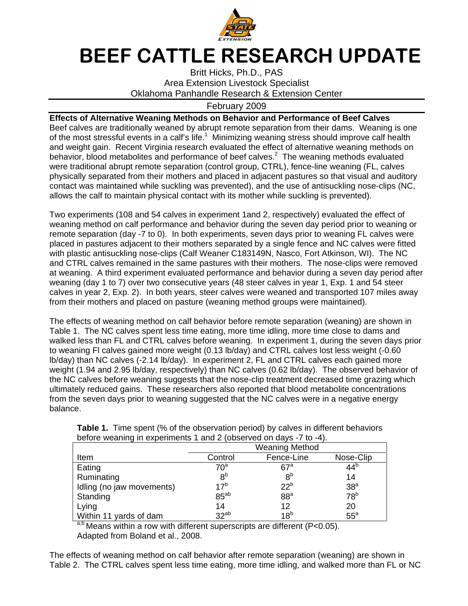

## BEEF CATTLE RESEARCH UPDATE

Britt Hicks, Ph.D., PAS Area Extension Livestock Specialist Oklahoma Panhandle Research & Extension Center

## February 2009

**Effects of Alternative Weaning Methods on Behavior and Performance of Beef Calves**  Beef calves are traditionally weaned by abrupt remote separation from their dams. Weaning is one of the most stressful events in a calf's life.<sup>1</sup> Minimizing weaning stress should improve calf health and weight gain. Recent Virginia research evaluated the effect of alternative weaning methods on behavior, blood metabolites and performance of beef calves.<sup>2</sup> The weaning methods evaluated were traditional abrupt remote separation (control group, CTRL), fence-line weaning (FL, calves physically separated from their mothers and placed in adjacent pastures so that visual and auditory contact was maintained while suckling was prevented), and the use of antisuckling nose-clips (NC, allows the calf to maintain physical contact with its mother while suckling is prevented).

Two experiments (108 and 54 calves in experiment 1and 2, respectively) evaluated the effect of weaning method on calf performance and behavior during the seven day period prior to weaning or remote separation (day -7 to 0). In both experiments, seven days prior to weaning FL calves were placed in pastures adjacent to their mothers separated by a single fence and NC calves were fitted with plastic antisuckling nose-clips (Calf Weaner C183149N, Nasco, Fort Atkinson, WI). The NC and CTRL calves remained in the same pastures with their mothers. The nose-clips were removed at weaning. A third experiment evaluated performance and behavior during a seven day period after weaning (day 1 to 7) over two consecutive years (48 steer calves in year 1, Exp. 1 and 54 steer calves in year 2, Exp. 2). In both years, steer calves were weaned and transported 107 miles away from their mothers and placed on pasture (weaning method groups were maintained).

The effects of weaning method on calf behavior before remote separation (weaning) are shown in Table 1. The NC calves spent less time eating, more time idling, more time close to dams and walked less than FL and CTRL calves before weaning. In experiment 1, during the seven days prior to weaning Fl calves gained more weight (0.13 lb/day) and CTRL calves lost less weight (-0.60 lb/day) than NC calves (-2.14 lb/day). In experiment 2, FL and CTRL calves each gained more weight (1.94 and 2.95 lb/day, respectively) than NC calves (0.62 lb/day). The observed behavior of the NC calves before weaning suggests that the nose-clip treatment decreased time grazing which ultimately reduced gains. These researchers also reported that blood metabolite concentrations from the seven days prior to weaning suggested that the NC calves were in a negative energy balance.

|                           | <b>Weaning Method</b> |                 |                 |  |  |
|---------------------------|-----------------------|-----------------|-----------------|--|--|
| Item                      | Control               | Fence-Line      | Nose-Clip       |  |  |
| Eating                    | 70ª                   | $67^{\circ}$    | $44^{\circ}$    |  |  |
| Ruminating                | 8 <sup>b</sup>        | 8 <sup>b</sup>  | 14              |  |  |
| Idling (no jaw movements) | 17 <sup>b</sup>       | 22 <sup>b</sup> | 38 <sup>a</sup> |  |  |
| Standing                  | $85^{ab}$             | 88 <sup>a</sup> | 78 <sup>b</sup> |  |  |
| Lying                     | 14                    | 12              | 20              |  |  |
| Within 11 yards of dam    | $32^{ab}$             | 18 <sup>b</sup> | $55^{\circ}$    |  |  |

**Table 1.** Time spent (% of the observation period) by calves in different behaviors before weaning in experiments 1 and 2 (observed on days -7 to -4).

 $a,b$  Means within a row with different superscripts are different (P<0.05). Adapted from Boland et al., 2008.

The effects of weaning method on calf behavior after remote separation (weaning) are shown in Table 2. The CTRL calves spent less time eating, more time idling, and walked more than FL or NC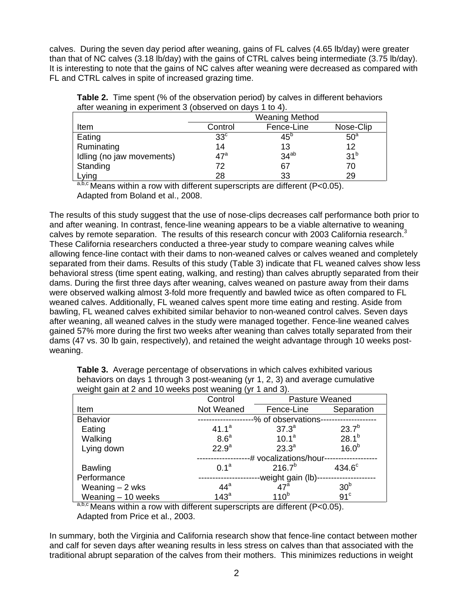calves. During the seven day period after weaning, gains of FL calves (4.65 lb/day) were greater than that of NC calves (3.18 lb/day) with the gains of CTRL calves being intermediate (3.75 lb/day). It is interesting to note that the gains of NC calves after weaning were decreased as compared with FL and CTRL calves in spite of increased grazing time.

|                           | <b>Weaning Method</b> |              |                 |  |
|---------------------------|-----------------------|--------------|-----------------|--|
| Item                      | Control               | Fence-Line   | Nose-Clip       |  |
| Eating                    | 33 <sup>c</sup>       | $45^{\circ}$ | 50 <sup>a</sup> |  |
| Ruminating                | 14                    | 13           | 12              |  |
| Idling (no jaw movements) | 47 <sup>a</sup>       | $34^{ab}$    | 31 <sup>b</sup> |  |
| Standing                  | 72                    | 67           | 70              |  |
| Lying                     | 28                    | 33           | 29              |  |

**Table 2.** Time spent (% of the observation period) by calves in different behaviors after weaning in experiment 3 (observed on days 1 to 4).

 $a,b,c$  Means within a row with different superscripts are different (P<0.05). Adapted from Boland et al., 2008.

The results of this study suggest that the use of nose-clips decreases calf performance both prior to and after weaning. In contrast, fence-line weaning appears to be a viable alternative to weaning calves by remote separation. The results of this research concur with 2003 California research.<sup>3</sup> These California researchers conducted a three-year study to compare weaning calves while allowing fence-line contact with their dams to non-weaned calves or calves weaned and completely separated from their dams. Results of this study (Table 3) indicate that FL weaned calves show less behavioral stress (time spent eating, walking, and resting) than calves abruptly separated from their dams. During the first three days after weaning, calves weaned on pasture away from their dams were observed walking almost 3-fold more frequently and bawled twice as often compared to FL weaned calves. Additionally, FL weaned calves spent more time eating and resting. Aside from bawling, FL weaned calves exhibited similar behavior to non-weaned control calves. Seven days after weaning, all weaned calves in the study were managed together. Fence-line weaned calves gained 57% more during the first two weeks after weaning than calves totally separated from their dams (47 vs. 30 lb gain, respectively), and retained the weight advantage through 10 weeks postweaning.

| weight gain at 2 and 10 weeks post weaning (yr 1 and 3). |                  |                        |                   |  |  |
|----------------------------------------------------------|------------------|------------------------|-------------------|--|--|
|                                                          | Control          | Pasture Weaned         |                   |  |  |
| Item                                                     | Not Weaned       | Fence-Line             | Separation        |  |  |
| <b>Behavior</b>                                          |                  | -% of observations-    |                   |  |  |
| Eating                                                   | $41.1^a$         | $37.3^a$               | $23.7^{b}$        |  |  |
| Walking                                                  | 8.6 <sup>a</sup> | $10.1^a$               | $28.1^{b}$        |  |  |
| Lying down                                               | $22.9^{a}$       | $23.3^{a}$             | 16.0 <sup>b</sup> |  |  |
|                                                          |                  | -# vocalizations/hour- |                   |  |  |
| <b>Bawling</b>                                           | 0.1 <sup>a</sup> | $216.7^{b}$            | $434.6^\circ$     |  |  |
| Performance                                              |                  | -weight gain (lb)-     |                   |  |  |
| Weaning $-2$ wks                                         | $44^a$           | $47^{\circ}$           | 30 <sup>b</sup>   |  |  |
| Weaning $-10$ weeks                                      | 143 <sup>a</sup> | 110 <sup>b</sup>       | 91 <sup>c</sup>   |  |  |

**Table 3.** Average percentage of observations in which calves exhibited various behaviors on days 1 through 3 post-weaning (yr 1, 2, 3) and average cumulative weight gain at 2 and 10 weeks post weaning (yr 1 and 3).

a,b,c Means within a row with different superscripts are different (P<0.05).

Adapted from Price et al., 2003.

In summary, both the Virginia and California research show that fence-line contact between mother and calf for seven days after weaning results in less stress on calves than that associated with the traditional abrupt separation of the calves from their mothers. This minimizes reductions in weight